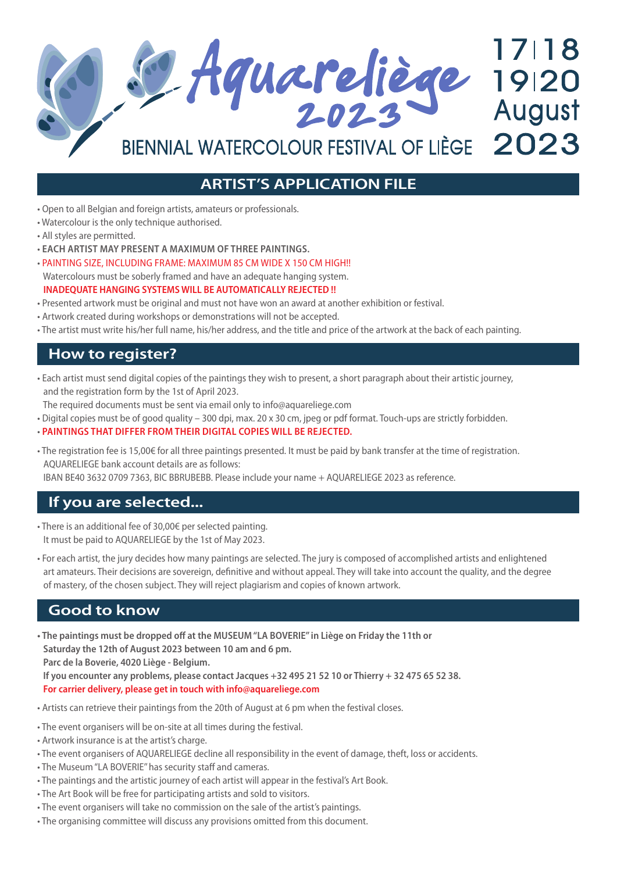17118 2 Aquareliège 19120 BIENNIAL WATERCOLOUR FESTIVAL OF LIÈGE 2023

## **ARTIST'S APPLICATION FILE**

- Open to all Belgian and foreign artists, amateurs or professionals.
- Watercolour is the only technique authorised.
- All styles are permitted.
- **EACH ARTIST MAY PRESENT A MAXIMUM OF THREE PAINTINGS.**
- PAINTING SIZE, INCLUDING FRAME: MAXIMUM 85 CM WIDE X 150 CM HIGH!! Watercolours must be soberly framed and have an adequate hanging system. **INADEQUATE HANGING SYSTEMS WILL BE AUTOMATICALLY REJECTED !!**
- Presented artwork must be original and must not have won an award at another exhibition or festival.
- Artwork created during workshops or demonstrations will not be accepted.
- The artist must write his/her full name, his/her address, and the title and price of the artwork at the back of each painting.

#### **How to register?**

• Each artist must send digital copies of the paintings they wish to present, a short paragraph about their artistic journey, and the registration form by the 1st of April 2023.

The required documents must be sent via email only to info@aquareliege.com

• Digital copies must be of good quality – 300 dpi, max. 20 x 30 cm, jpeg or pdf format. Touch-ups are strictly forbidden.

#### • **PAINTINGS THAT DIFFER FROM THEIR DIGITAL COPIES WILL BE REJECTED.**

• The registration fee is 15,00€ for all three paintings presented. It must be paid by bank transfer at the time of registration. AQUARELIEGE bank account details are as follows:

IBAN BE40 3632 0709 7363, BIC BBRUBEBB. Please include your name + AQUARELIEGE 2023 as reference.

#### **If you are selected...**

- There is an additional fee of 30,00€ per selected painting. It must be paid to AQUARELIEGE by the 1st of May 2023.
- For each artist, the jury decides how many paintings are selected. The jury is composed of accomplished artists and enlightened art amateurs. Their decisions are sovereign, definitive and without appeal. They will take into account the quality, and the degree of mastery, of the chosen subject. They will reject plagiarism and copies of known artwork.

### **Good to know**

- **The paintings must be dropped off at the MUSEUM "LA BOVERIE" in Liège on Friday the 11th or Saturday the 12th of August 2023 between 10 am and 6 pm. Parc de la Boverie, 4020 Liège - Belgium. If you encounter any problems, please contact Jacques +32 495 21 52 10 or Thierry + 32 475 65 52 38. For carrier delivery, please get in touch with info@aquareliege.com**
- Artists can retrieve their paintings from the 20th of August at 6 pm when the festival closes.
- The event organisers will be on-site at all times during the festival.
- Artwork insurance is at the artist's charge.
- The event organisers of AQUARELIEGE decline all responsibility in the event of damage, theft, loss or accidents.
- The Museum ''LA BOVERIE'' has security staff and cameras.
- The paintings and the artistic journey of each artist will appear in the festival's Art Book.
- The Art Book will be free for participating artists and sold to visitors.
- The event organisers will take no commission on the sale of the artist's paintings.
- The organising committee will discuss any provisions omitted from this document.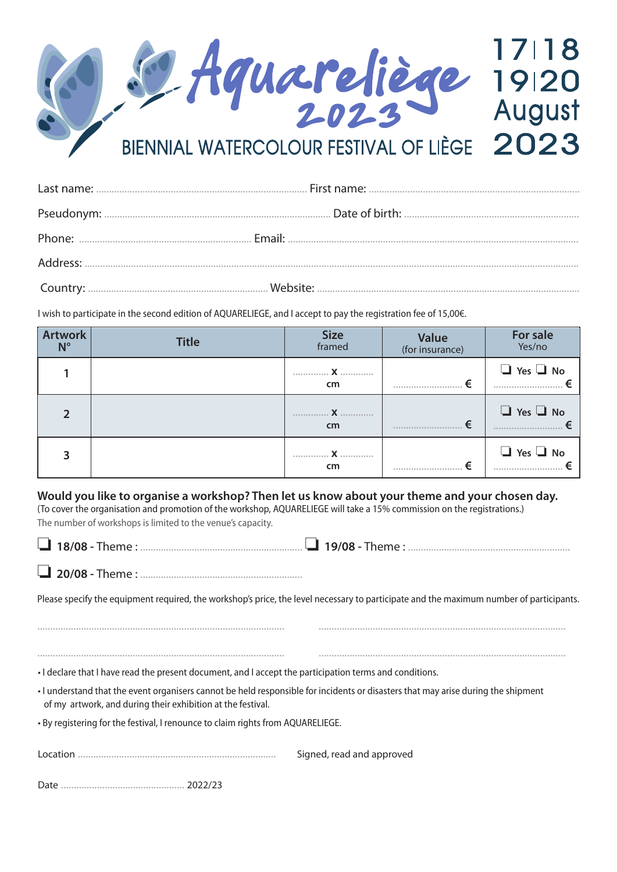

I wish to participate in the second edition of AQUARELIEGE, and I accept to pay the registration fee of 15,00€.

| <b>Artwork</b><br>$N^{\circ}$ | <b>Title</b> | <b>Size</b><br>framed | <b>Value</b><br>(for insurance) | For sale<br>Yes/no       |
|-------------------------------|--------------|-----------------------|---------------------------------|--------------------------|
|                               |              | . <b>X</b><br>cm      | €<br>                           | $\Box$ Yes $\Box$ No<br> |
|                               |              | cm                    | €<br>                           | $\Box$ Yes $\Box$ No     |
|                               |              | cm                    |                                 | $\Box$ Yes $\Box$ No     |

**Would you like to organise a workshop? Then let us know about your theme and your chosen day.** (To cover the organisation and promotion of the workshop, AQUARELIEGE will take a 15% commission on the registrations.) The number of workshops is limited to the venue's capacity.

|--|

❏ **20/08 -** Theme : ...............................................................

Please specify the equipment required, the workshop's price, the level necessary to participate and the maximum number of participants.

• I declare that I have read the present document, and I accept the participation terms and conditions. • I understand that the event organisers cannot be held responsible for incidents or disasters that may arise during the shipment of my artwork, and during their exhibition at the festival. • By registering for the festival, I renounce to claim rights from AQUARELIEGE. Location ............................................................................. Signed, read and approved ................................................................................................ ................................................................................................ ................................................................................................ ................................................................................................

Date ................................................ 2022/23